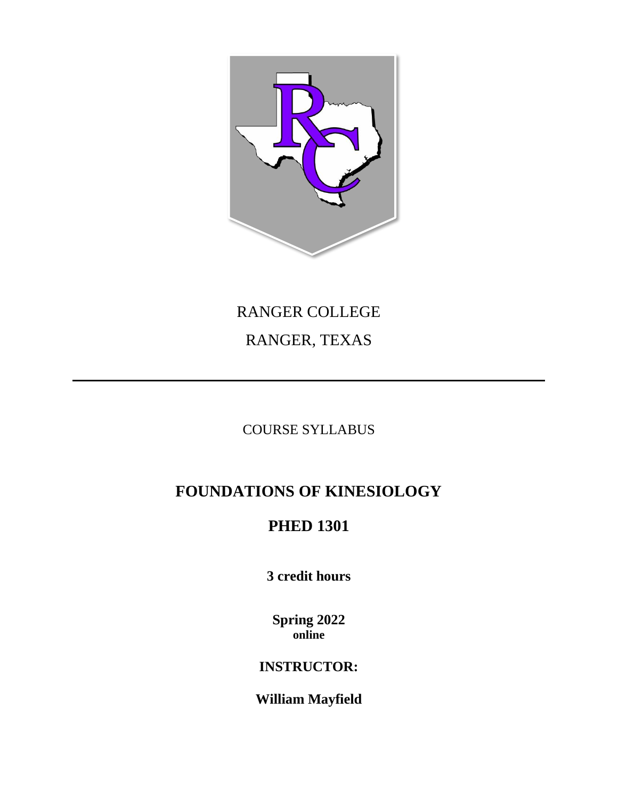

# RANGER COLLEGE RANGER, TEXAS

## COURSE SYLLABUS

## **FOUNDATIONS OF KINESIOLOGY**

## **PHED 1301**

**3 credit hours**

**Spring 2022 online**

## **INSTRUCTOR:**

**William Mayfield**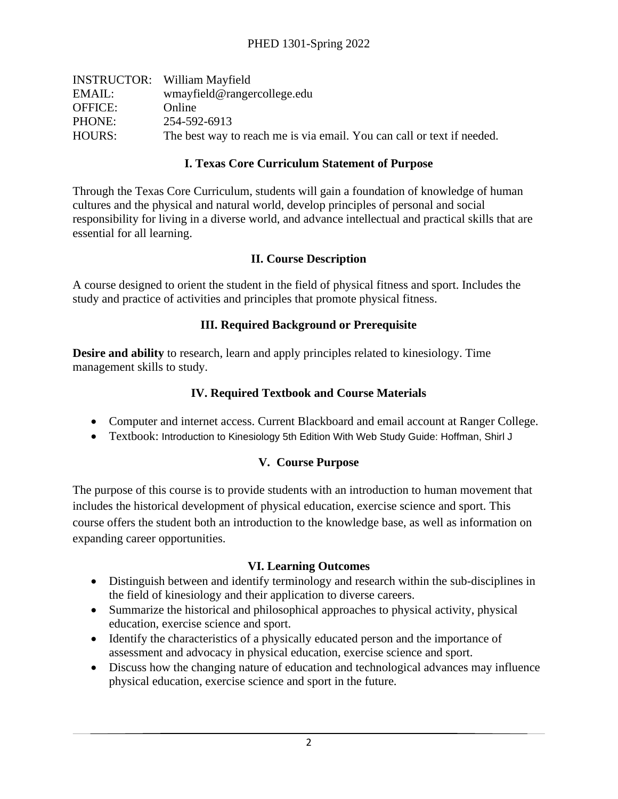|                | <b>INSTRUCTOR:</b> William Mayfield                                    |
|----------------|------------------------------------------------------------------------|
| EMAIL:         | wmayfield@rangercollege.edu                                            |
| <b>OFFICE:</b> | Online                                                                 |
| PHONE:         | 254-592-6913                                                           |
| HOURS:         | The best way to reach me is via email. You can call or text if needed. |

### **I. Texas Core Curriculum Statement of Purpose**

Through the Texas Core Curriculum, students will gain a foundation of knowledge of human cultures and the physical and natural world, develop principles of personal and social responsibility for living in a diverse world, and advance intellectual and practical skills that are essential for all learning.

#### **II. Course Description**

A course designed to orient the student in the field of physical fitness and sport. Includes the study and practice of activities and principles that promote physical fitness.

### **III. Required Background or Prerequisite**

**Desire and ability** to research, learn and apply principles related to kinesiology. Time management skills to study.

### **IV. Required Textbook and Course Materials**

- Computer and internet access. Current Blackboard and email account at Ranger College.
- Textbook: Introduction to Kinesiology 5th Edition With Web Study Guide: Hoffman, Shirl J

#### **V. Course Purpose**

The purpose of this course is to provide students with an introduction to human movement that includes the historical development of physical education, exercise science and sport. This course offers the student both an introduction to the knowledge base, as well as information on expanding career opportunities.

## **VI. Learning Outcomes**

- Distinguish between and identify terminology and research within the sub-disciplines in the field of kinesiology and their application to diverse careers.
- Summarize the historical and philosophical approaches to physical activity, physical education, exercise science and sport.
- Identify the characteristics of a physically educated person and the importance of assessment and advocacy in physical education, exercise science and sport.
- Discuss how the changing nature of education and technological advances may influence physical education, exercise science and sport in the future.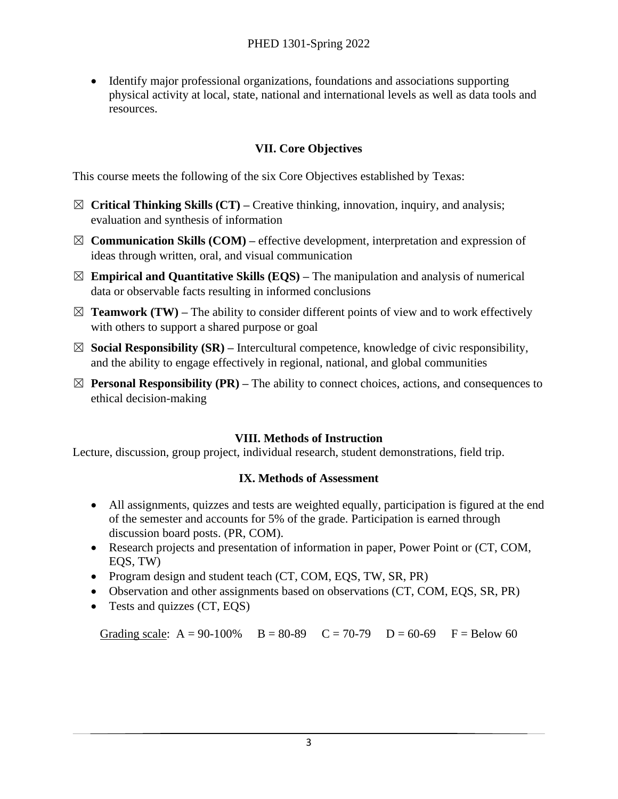• Identify major professional organizations, foundations and associations supporting physical activity at local, state, national and international levels as well as data tools and resources.

### **VII. Core Objectives**

This course meets the following of the six Core Objectives established by Texas:

- ☒ **Critical Thinking Skills (CT) –** Creative thinking, innovation, inquiry, and analysis; evaluation and synthesis of information
- ☒ **Communication Skills (COM) –** effective development, interpretation and expression of ideas through written, oral, and visual communication
- $\boxtimes$  **Empirical and Quantitative Skills (EQS)** The manipulation and analysis of numerical data or observable facts resulting in informed conclusions
- $\boxtimes$  **Teamwork (TW)** The ability to consider different points of view and to work effectively with others to support a shared purpose or goal
- $\boxtimes$  **Social Responsibility (SR)** Intercultural competence, knowledge of civic responsibility, and the ability to engage effectively in regional, national, and global communities
- $\boxtimes$  **Personal Responsibility (PR)** The ability to connect choices, actions, and consequences to ethical decision-making

#### **VIII. Methods of Instruction**

Lecture, discussion, group project, individual research, student demonstrations, field trip.

#### **IX. Methods of Assessment**

- All assignments, quizzes and tests are weighted equally, participation is figured at the end of the semester and accounts for 5% of the grade. Participation is earned through discussion board posts. (PR, COM).
- Research projects and presentation of information in paper, Power Point or (CT, COM, EQS, TW)
- Program design and student teach (CT, COM, EQS, TW, SR, PR)
- Observation and other assignments based on observations (CT, COM, EQS, SR, PR)
- Tests and quizzes (CT, EQS)

Grading scale:  $A = 90-100\%$   $B = 80-89$   $C = 70-79$   $D = 60-69$   $F = Below 60$